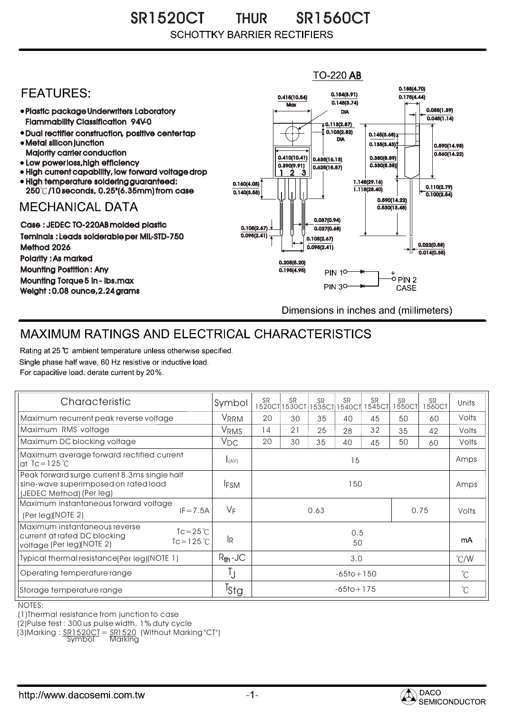SR1520CT THUR SR1560CT THUR **SCHOTTKY BARRIER RECTIFIERS** 

## $TO-220$  AB 0.185(4.70) **FFATURFS:** 0.154(3.91) 0.415(10.54) 0.175(4.44)  $0.148(3.74)$ **Max** Plastic package Underwriters Laboratory 0.055(1.39) DIA  $\overline{0.045(1.14)}$ Flammability Classification 94V-0  $\overline{4}$  0.113(2.87) 0.103(2.82) Dual rectifier construction, positive center tap 0.145(3.68) DIA Metal silicon junction  $0.135(3.43)$ 0.590(14.98) Majority carrier conduction  $0.560(14.22)$ 0.410(10.41) 0.380(8.89) 0.635(16.13) • Low power loss, high efficiency 0.330(8.38)) 0.390(9.91)  $0.625(15.87)$ High current capability, low forward voltage drop 1 3 2High temperature soldering guaranteed: 1.148(29.16) 0.160(4.05) 0.110(2.79) 250 /10 seconds, 0.25"(6.35mm) from case 1.118(28.40) 0.140(3.55)  $\overline{0.100(2.54)}$ 0.590(14.22) **MECHANICAL DATA**  $0.530(13.48)$ 0.037(0.94) Case : JEDEC TO-220AB molded plastic 0.105(2.67)  $0.027(0.68)$ Teminals : Leads solderable per MIL-STD-750  $0.095(2.41)$ 0.105(2.67) 0.022(0.58) Method 2026  $0.095(2.41)$  $0.014(0.35)$ Polarity : As marked 0.205(5.20) Mounting Postition : Any 0.195(4.95) **PIN 10-**+<br>-0 PIN 2 Mounting Torque 5 in - lbs.max **PIN 30-**CASE Weight : 0.08 ounce,2.24 grams Dimensions in inches and (millimeters)

## MAXIMUM RATINGS AND ELECTRICAL CHARACTERISTICS

Rating at 25 °C ambient temperature unless otherwise specified. Single phase half wave, 60 Hz resistive or inductive load. For capacitive load, derate current by 20%.

| Characteristic                                                                                                                             | Symbol           | <b>SR</b>      | <b>SR</b><br>1520CT 1530CT | <b>SR</b><br>1535CT | <b>SR</b><br>1540CT | <b>SR</b><br>545CT | <b>SR</b><br>1550CT | <b>SR</b><br>1560CT | Units         |
|--------------------------------------------------------------------------------------------------------------------------------------------|------------------|----------------|----------------------------|---------------------|---------------------|--------------------|---------------------|---------------------|---------------|
| Maximum recurrent peak reverse voltage                                                                                                     | VRRM             | 20             | 30                         | 35                  | 40                  | 45                 | 50                  | 60                  | Volts         |
| Maximum RMS voltage                                                                                                                        | VRMS             | 14             | 21                         | 25                  | 28                  | 32                 | 35                  | 42                  | Volts         |
| Maximum DC blocking voltage                                                                                                                | $V_{DC}$         | 20             | 30                         | 35                  | 40                  | 45                 | 50                  | 60                  | Volts         |
| Maximum average forward rectified current<br>at $Tc = 125$ °C                                                                              | I(AV)            | 15             |                            |                     |                     |                    |                     |                     | Amps          |
| Peak forward surge current 8.3ms single half<br>sine-wave superimposed on rated load<br>(JEDEC Method) (Per leg)                           | <b>IFSM</b>      | 150            |                            |                     |                     |                    |                     |                     | Amps          |
| Maximum instantaneous forward voltage<br>$IF = 7.5A$<br>(Per leg)(NOTE 2)                                                                  | $V_F$            | 0.63<br>0.75   |                            |                     |                     |                    |                     | Volts               |               |
| Maximum instantaneous reverse<br>$Tc = 25^{\circ}C$<br>current at rated DC blocking<br>$Tc = 125$ $\degree$ C<br>voltage (Per leg)(NOTE 2) | <b>IR</b>        | 0.5<br>50      |                            |                     |                     |                    |                     |                     | mA            |
| Typical thermal resistance(Per leg)(NOTE 1)                                                                                                | $R_{th}$ -JC     | 3.0            |                            |                     |                     |                    |                     |                     | $\degree$ C/W |
| Operating temperature range                                                                                                                | IJ               | $-65$ to + 150 |                            |                     |                     |                    |                     |                     | $^{\circ}C$   |
| Storage temperature range                                                                                                                  | <sup>T</sup> stg | $-65$ to + 175 |                            |                     |                     |                    |                     |                     | $^{\circ}C$   |

## NOTES:

(1)Thermal resistance from junction to case

(2)Pulse test : 300 us pulse width, 1% duty cycle

(3)Marking : <u>SR1520CT</u> = <u>SR1520</u> (Without Marking"CT") R

Symbol Marking